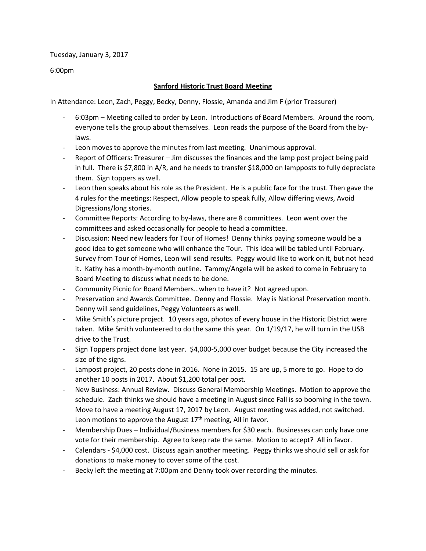Tuesday, January 3, 2017

6:00pm

## **Sanford Historic Trust Board Meeting**

In Attendance: Leon, Zach, Peggy, Becky, Denny, Flossie, Amanda and Jim F (prior Treasurer)

- 6:03pm Meeting called to order by Leon. Introductions of Board Members. Around the room, everyone tells the group about themselves. Leon reads the purpose of the Board from the bylaws.
- Leon moves to approve the minutes from last meeting. Unanimous approval.
- Report of Officers: Treasurer Jim discusses the finances and the lamp post project being paid in full. There is \$7,800 in A/R, and he needs to transfer \$18,000 on lampposts to fully depreciate them. Sign toppers as well.
- Leon then speaks about his role as the President. He is a public face for the trust. Then gave the 4 rules for the meetings: Respect, Allow people to speak fully, Allow differing views, Avoid Digressions/long stories.
- Committee Reports: According to by-laws, there are 8 committees. Leon went over the committees and asked occasionally for people to head a committee.
- Discussion: Need new leaders for Tour of Homes! Denny thinks paying someone would be a good idea to get someone who will enhance the Tour. This idea will be tabled until February. Survey from Tour of Homes, Leon will send results. Peggy would like to work on it, but not head it. Kathy has a month-by-month outline. Tammy/Angela will be asked to come in February to Board Meeting to discuss what needs to be done.
- Community Picnic for Board Members…when to have it? Not agreed upon.
- Preservation and Awards Committee. Denny and Flossie. May is National Preservation month. Denny will send guidelines, Peggy Volunteers as well.
- Mike Smith's picture project. 10 years ago, photos of every house in the Historic District were taken. Mike Smith volunteered to do the same this year. On 1/19/17, he will turn in the USB drive to the Trust.
- Sign Toppers project done last year. \$4,000-5,000 over budget because the City increased the size of the signs.
- Lampost project, 20 posts done in 2016. None in 2015. 15 are up, 5 more to go. Hope to do another 10 posts in 2017. About \$1,200 total per post.
- New Business: Annual Review. Discuss General Membership Meetings. Motion to approve the schedule. Zach thinks we should have a meeting in August since Fall is so booming in the town. Move to have a meeting August 17, 2017 by Leon. August meeting was added, not switched. Leon motions to approve the August  $17<sup>th</sup>$  meeting, All in favor.
- Membership Dues Individual/Business members for \$30 each. Businesses can only have one vote for their membership. Agree to keep rate the same. Motion to accept? All in favor.
- Calendars \$4,000 cost. Discuss again another meeting. Peggy thinks we should sell or ask for donations to make money to cover some of the cost.
- Becky left the meeting at 7:00pm and Denny took over recording the minutes.